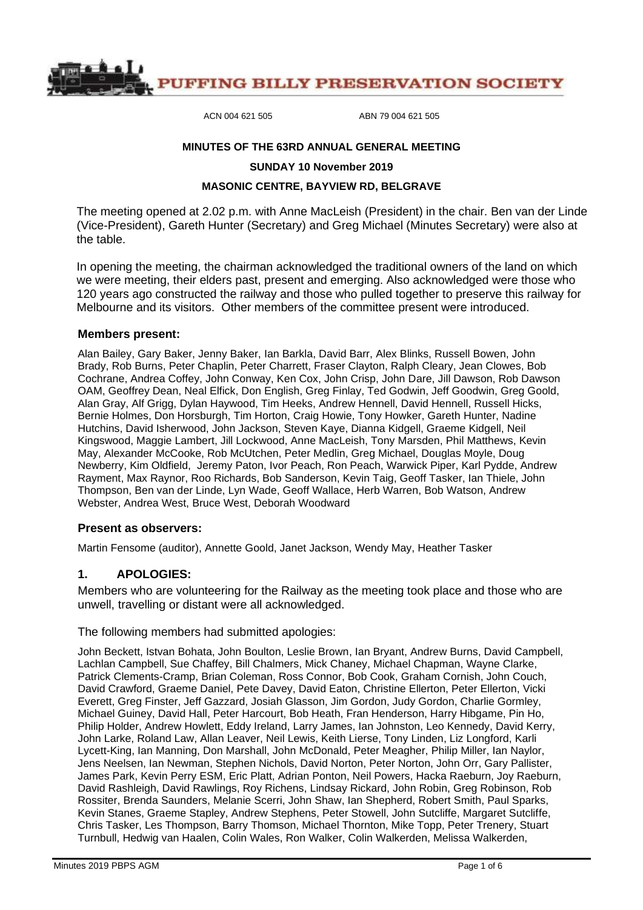

ACN 004 621 505 ABN 79 004 621 505

#### **MINUTES OF THE 63RD ANNUAL GENERAL MEETING**

**SUNDAY 10 November 2019**

#### **MASONIC CENTRE, BAYVIEW RD, BELGRAVE**

The meeting opened at 2.02 p.m. with Anne MacLeish (President) in the chair. Ben van der Linde (Vice-President), Gareth Hunter (Secretary) and Greg Michael (Minutes Secretary) were also at the table.

In opening the meeting, the chairman acknowledged the traditional owners of the land on which we were meeting, their elders past, present and emerging. Also acknowledged were those who 120 years ago constructed the railway and those who pulled together to preserve this railway for Melbourne and its visitors. Other members of the committee present were introduced.

#### **Members present:**

Alan Bailey, Gary Baker, Jenny Baker, Ian Barkla, David Barr, Alex Blinks, Russell Bowen, John Brady, Rob Burns, Peter Chaplin, Peter Charrett, Fraser Clayton, Ralph Cleary, Jean Clowes, Bob Cochrane, Andrea Coffey, John Conway, Ken Cox, John Crisp, John Dare, Jill Dawson, Rob Dawson OAM, Geoffrey Dean, Neal Elfick, Don English, Greg Finlay, Ted Godwin, Jeff Goodwin, Greg Goold, Alan Gray, Alf Grigg, Dylan Haywood, Tim Heeks, Andrew Hennell, David Hennell, Russell Hicks, Bernie Holmes, Don Horsburgh, Tim Horton, Craig Howie, Tony Howker, Gareth Hunter, Nadine Hutchins, David Isherwood, John Jackson, Steven Kaye, Dianna Kidgell, Graeme Kidgell, Neil Kingswood, Maggie Lambert, Jill Lockwood, Anne MacLeish, Tony Marsden, Phil Matthews, Kevin May, Alexander McCooke, Rob McUtchen, Peter Medlin, Greg Michael, Douglas Moyle, Doug Newberry, Kim Oldfield, Jeremy Paton, Ivor Peach, Ron Peach, Warwick Piper, Karl Pydde, Andrew Rayment, Max Raynor, Roo Richards, Bob Sanderson, Kevin Taig, Geoff Tasker, Ian Thiele, John Thompson, Ben van der Linde, Lyn Wade, Geoff Wallace, Herb Warren, Bob Watson, Andrew Webster, Andrea West, Bruce West, Deborah Woodward

#### **Present as observers:**

Martin Fensome (auditor), Annette Goold, Janet Jackson, Wendy May, Heather Tasker

#### **1. APOLOGIES:**

Members who are volunteering for the Railway as the meeting took place and those who are unwell, travelling or distant were all acknowledged.

The following members had submitted apologies:

John Beckett, Istvan Bohata, John Boulton, Leslie Brown, Ian Bryant, Andrew Burns, David Campbell, Lachlan Campbell, Sue Chaffey, Bill Chalmers, Mick Chaney, Michael Chapman, Wayne Clarke, Patrick Clements-Cramp, Brian Coleman, Ross Connor, Bob Cook, Graham Cornish, John Couch, David Crawford, Graeme Daniel, Pete Davey, David Eaton, Christine Ellerton, Peter Ellerton, Vicki Everett, Greg Finster, Jeff Gazzard, Josiah Glasson, Jim Gordon, Judy Gordon, Charlie Gormley, Michael Guiney, David Hall, Peter Harcourt, Bob Heath, Fran Henderson, Harry Hibgame, Pin Ho, Philip Holder, Andrew Howlett, Eddy Ireland, Larry James, Ian Johnston, Leo Kennedy, David Kerry, John Larke, Roland Law, Allan Leaver, Neil Lewis, Keith Lierse, Tony Linden, Liz Longford, Karli Lycett-King, Ian Manning, Don Marshall, John McDonald, Peter Meagher, Philip Miller, Ian Naylor, Jens Neelsen, Ian Newman, Stephen Nichols, David Norton, Peter Norton, John Orr, Gary Pallister, James Park, Kevin Perry ESM, Eric Platt, Adrian Ponton, Neil Powers, Hacka Raeburn, Joy Raeburn, David Rashleigh, David Rawlings, Roy Richens, Lindsay Rickard, John Robin, Greg Robinson, Rob Rossiter, Brenda Saunders, Melanie Scerri, John Shaw, Ian Shepherd, Robert Smith, Paul Sparks, Kevin Stanes, Graeme Stapley, Andrew Stephens, Peter Stowell, John Sutcliffe, Margaret Sutcliffe, Chris Tasker, Les Thompson, Barry Thomson, Michael Thornton, Mike Topp, Peter Trenery, Stuart Turnbull, Hedwig van Haalen, Colin Wales, Ron Walker, Colin Walkerden, Melissa Walkerden,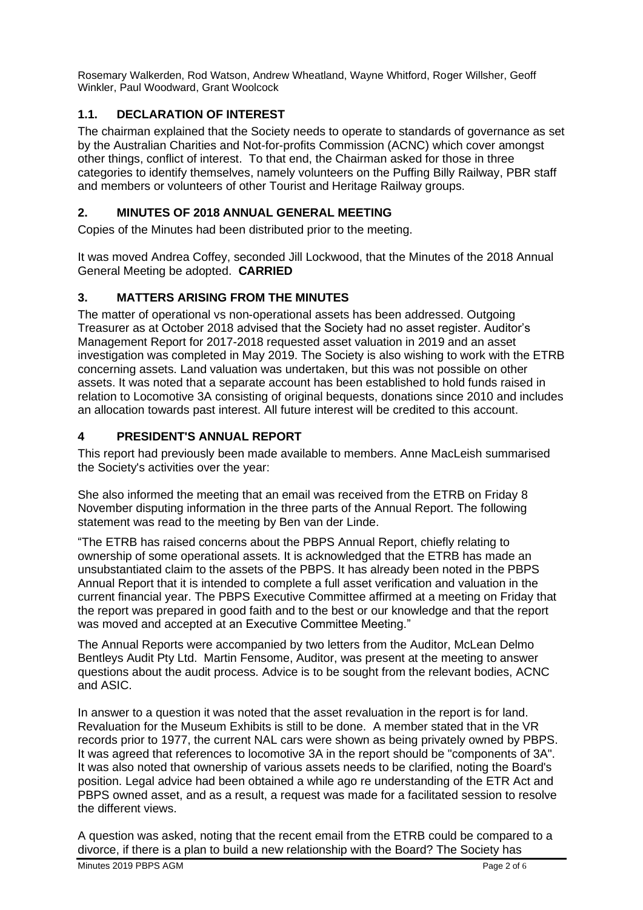Rosemary Walkerden, Rod Watson, Andrew Wheatland, Wayne Whitford, Roger Willsher, Geoff Winkler, Paul Woodward, Grant Woolcock

# **1.1. DECLARATION OF INTEREST**

The chairman explained that the Society needs to operate to standards of governance as set by the Australian Charities and Not-for-profits Commission (ACNC) which cover amongst other things, conflict of interest. To that end, the Chairman asked for those in three categories to identify themselves, namely volunteers on the Puffing Billy Railway, PBR staff and members or volunteers of other Tourist and Heritage Railway groups.

# **2. MINUTES OF 2018 ANNUAL GENERAL MEETING**

Copies of the Minutes had been distributed prior to the meeting.

It was moved Andrea Coffey, seconded Jill Lockwood, that the Minutes of the 2018 Annual General Meeting be adopted. **CARRIED**

# **3. MATTERS ARISING FROM THE MINUTES**

The matter of operational vs non-operational assets has been addressed. Outgoing Treasurer as at October 2018 advised that the Society had no asset register. Auditor's Management Report for 2017-2018 requested asset valuation in 2019 and an asset investigation was completed in May 2019. The Society is also wishing to work with the ETRB concerning assets. Land valuation was undertaken, but this was not possible on other assets. It was noted that a separate account has been established to hold funds raised in relation to Locomotive 3A consisting of original bequests, donations since 2010 and includes an allocation towards past interest. All future interest will be credited to this account.

# **4 PRESIDENT'S ANNUAL REPORT**

This report had previously been made available to members. Anne MacLeish summarised the Society's activities over the year:

She also informed the meeting that an email was received from the ETRB on Friday 8 November disputing information in the three parts of the Annual Report. The following statement was read to the meeting by Ben van der Linde.

"The ETRB has raised concerns about the PBPS Annual Report, chiefly relating to ownership of some operational assets. It is acknowledged that the ETRB has made an unsubstantiated claim to the assets of the PBPS. It has already been noted in the PBPS Annual Report that it is intended to complete a full asset verification and valuation in the current financial year. The PBPS Executive Committee affirmed at a meeting on Friday that the report was prepared in good faith and to the best or our knowledge and that the report was moved and accepted at an Executive Committee Meeting."

The Annual Reports were accompanied by two letters from the Auditor, McLean Delmo Bentleys Audit Pty Ltd. Martin Fensome, Auditor, was present at the meeting to answer questions about the audit process. Advice is to be sought from the relevant bodies, ACNC and ASIC.

In answer to a question it was noted that the asset revaluation in the report is for land. Revaluation for the Museum Exhibits is still to be done. A member stated that in the VR records prior to 1977, the current NAL cars were shown as being privately owned by PBPS. It was agreed that references to locomotive 3A in the report should be "components of 3A". It was also noted that ownership of various assets needs to be clarified, noting the Board's position. Legal advice had been obtained a while ago re understanding of the ETR Act and PBPS owned asset, and as a result, a request was made for a facilitated session to resolve the different views.

A question was asked, noting that the recent email from the ETRB could be compared to a divorce, if there is a plan to build a new relationship with the Board? The Society has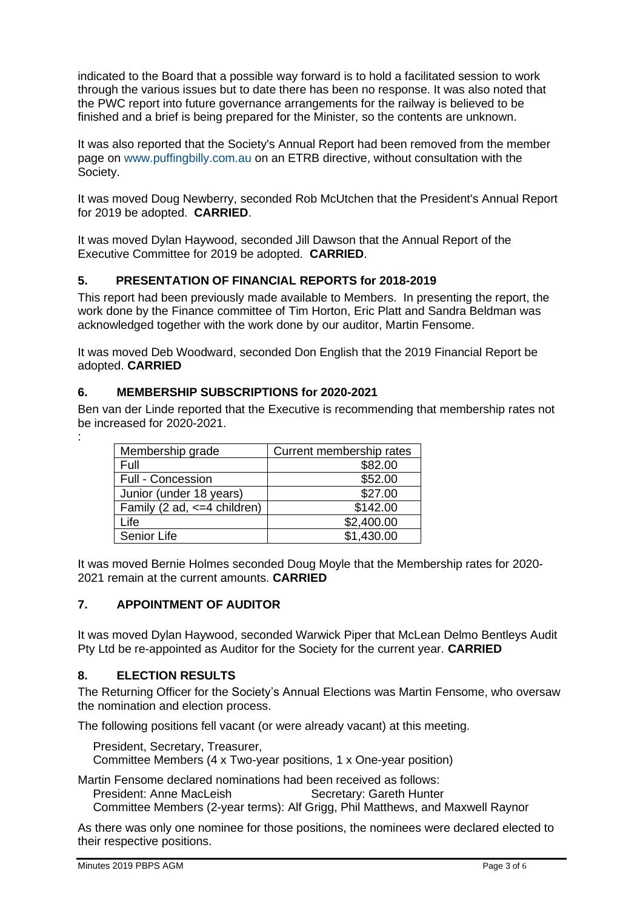indicated to the Board that a possible way forward is to hold a facilitated session to work through the various issues but to date there has been no response. It was also noted that the PWC report into future governance arrangements for the railway is believed to be finished and a brief is being prepared for the Minister, so the contents are unknown.

It was also reported that the Society's Annual Report had been removed from the member page on [www.puffingbilly.com.au](http://www.puffingbilly.com.au/) on an ETRB directive, without consultation with the Society.

It was moved Doug Newberry, seconded Rob McUtchen that the President's Annual Report for 2019 be adopted. **CARRIED**.

It was moved Dylan Haywood, seconded Jill Dawson that the Annual Report of the Executive Committee for 2019 be adopted. **CARRIED**.

# **5. PRESENTATION OF FINANCIAL REPORTS for 2018-2019**

This report had been previously made available to Members. In presenting the report, the work done by the Finance committee of Tim Horton, Eric Platt and Sandra Beldman was acknowledged together with the work done by our auditor, Martin Fensome.

It was moved Deb Woodward, seconded Don English that the 2019 Financial Report be adopted. **CARRIED**

## **6. MEMBERSHIP SUBSCRIPTIONS for 2020-2021**

Ben van der Linde reported that the Executive is recommending that membership rates not be increased for 2020-2021.

| Membership grade                 | Current membership rates |
|----------------------------------|--------------------------|
| Full                             | \$82.00                  |
| <b>Full - Concession</b>         | \$52.00                  |
| Junior (under 18 years)          | \$27.00                  |
| Family (2 ad, $\leq$ 4 children) | \$142.00                 |
| Life                             | \$2,400.00               |
| Senior Life                      | \$1,430.00               |

It was moved Bernie Holmes seconded Doug Moyle that the Membership rates for 2020- 2021 remain at the current amounts. **CARRIED**

# **7. APPOINTMENT OF AUDITOR**

It was moved Dylan Haywood, seconded Warwick Piper that McLean Delmo Bentleys Audit Pty Ltd be re-appointed as Auditor for the Society for the current year. **CARRIED**

### **8. ELECTION RESULTS**

:

The Returning Officer for the Society's Annual Elections was Martin Fensome, who oversaw the nomination and election process.

The following positions fell vacant (or were already vacant) at this meeting.

President, Secretary, Treasurer,

Committee Members (4 x Two-year positions, 1 x One-year position)

Martin Fensome declared nominations had been received as follows:

President: Anne MacLeish Secretary: Gareth Hunter

Committee Members (2-year terms): Alf Grigg, Phil Matthews, and Maxwell Raynor

As there was only one nominee for those positions, the nominees were declared elected to their respective positions.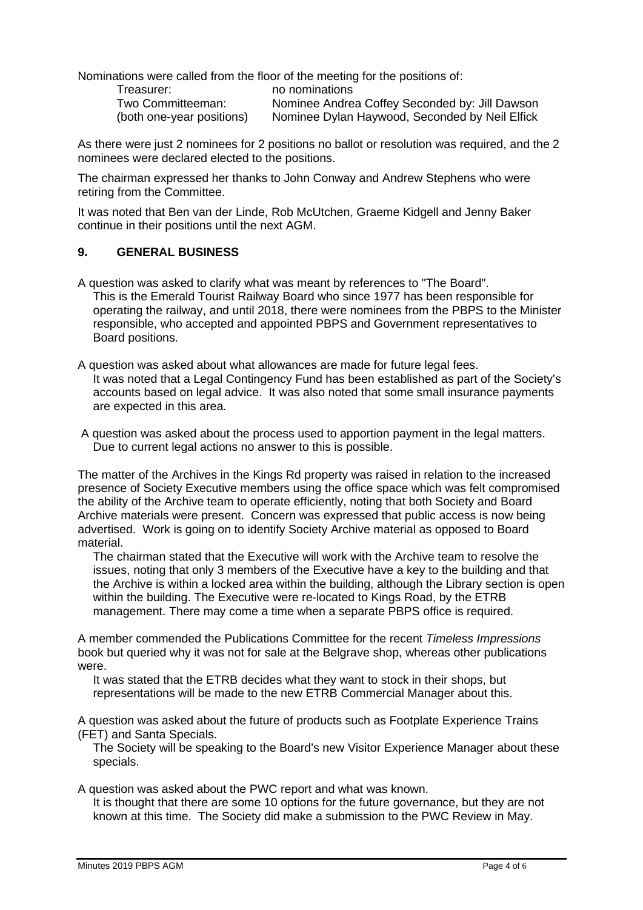Nominations were called from the floor of the meeting for the positions of:

Treasurer: no nominations

Two Committeeman: Nominee Andrea Coffey Seconded by: Jill Dawson (both one-year positions) Nominee Dylan Haywood, Seconded by Neil Elfick

As there were just 2 nominees for 2 positions no ballot or resolution was required, and the 2 nominees were declared elected to the positions.

The chairman expressed her thanks to John Conway and Andrew Stephens who were retiring from the Committee.

It was noted that Ben van der Linde, Rob McUtchen, Graeme Kidgell and Jenny Baker continue in their positions until the next AGM.

## **9. GENERAL BUSINESS**

A question was asked to clarify what was meant by references to "The Board". This is the Emerald Tourist Railway Board who since 1977 has been responsible for operating the railway, and until 2018, there were nominees from the PBPS to the Minister responsible, who accepted and appointed PBPS and Government representatives to Board positions.

A question was asked about what allowances are made for future legal fees. It was noted that a Legal Contingency Fund has been established as part of the Society's accounts based on legal advice. It was also noted that some small insurance payments are expected in this area.

A question was asked about the process used to apportion payment in the legal matters. Due to current legal actions no answer to this is possible.

The matter of the Archives in the Kings Rd property was raised in relation to the increased presence of Society Executive members using the office space which was felt compromised the ability of the Archive team to operate efficiently, noting that both Society and Board Archive materials were present. Concern was expressed that public access is now being advertised. Work is going on to identify Society Archive material as opposed to Board material.

The chairman stated that the Executive will work with the Archive team to resolve the issues, noting that only 3 members of the Executive have a key to the building and that the Archive is within a locked area within the building, although the Library section is open within the building. The Executive were re-located to Kings Road, by the ETRB management. There may come a time when a separate PBPS office is required.

A member commended the Publications Committee for the recent *Timeless Impressions* book but queried why it was not for sale at the Belgrave shop, whereas other publications were.

It was stated that the ETRB decides what they want to stock in their shops, but representations will be made to the new ETRB Commercial Manager about this.

A question was asked about the future of products such as Footplate Experience Trains (FET) and Santa Specials.

The Society will be speaking to the Board's new Visitor Experience Manager about these specials.

A question was asked about the PWC report and what was known.

It is thought that there are some 10 options for the future governance, but they are not known at this time. The Society did make a submission to the PWC Review in May.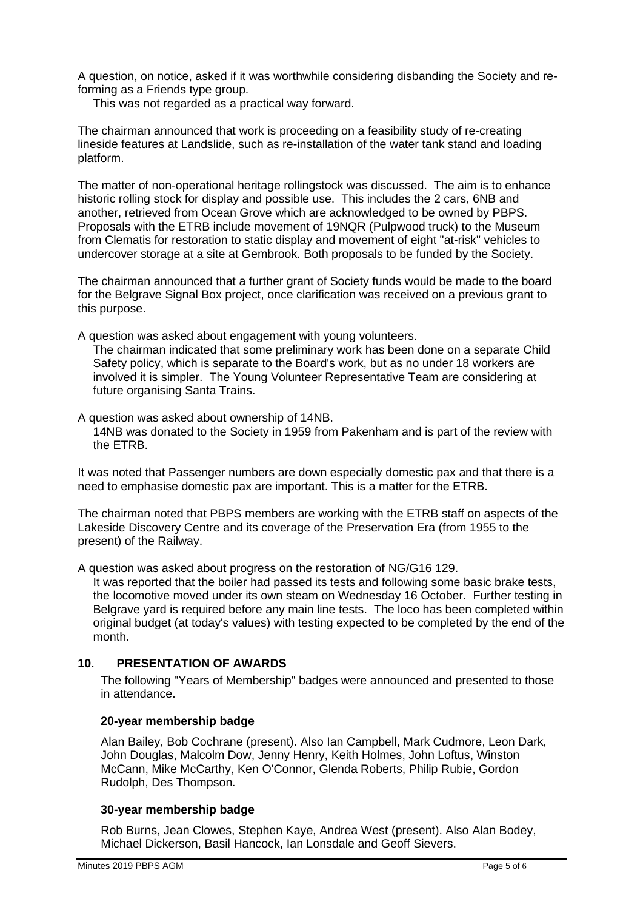A question, on notice, asked if it was worthwhile considering disbanding the Society and reforming as a Friends type group.

This was not regarded as a practical way forward.

The chairman announced that work is proceeding on a feasibility study of re-creating lineside features at Landslide, such as re-installation of the water tank stand and loading platform.

The matter of non-operational heritage rollingstock was discussed. The aim is to enhance historic rolling stock for display and possible use. This includes the 2 cars, 6NB and another, retrieved from Ocean Grove which are acknowledged to be owned by PBPS. Proposals with the ETRB include movement of 19NQR (Pulpwood truck) to the Museum from Clematis for restoration to static display and movement of eight "at-risk" vehicles to undercover storage at a site at Gembrook. Both proposals to be funded by the Society.

The chairman announced that a further grant of Society funds would be made to the board for the Belgrave Signal Box project, once clarification was received on a previous grant to this purpose.

A question was asked about engagement with young volunteers.

The chairman indicated that some preliminary work has been done on a separate Child Safety policy, which is separate to the Board's work, but as no under 18 workers are involved it is simpler. The Young Volunteer Representative Team are considering at future organising Santa Trains.

A question was asked about ownership of 14NB.

14NB was donated to the Society in 1959 from Pakenham and is part of the review with the ETRB.

It was noted that Passenger numbers are down especially domestic pax and that there is a need to emphasise domestic pax are important. This is a matter for the ETRB.

The chairman noted that PBPS members are working with the ETRB staff on aspects of the Lakeside Discovery Centre and its coverage of the Preservation Era (from 1955 to the present) of the Railway.

A question was asked about progress on the restoration of NG/G16 129.

It was reported that the boiler had passed its tests and following some basic brake tests, the locomotive moved under its own steam on Wednesday 16 October. Further testing in Belgrave yard is required before any main line tests. The loco has been completed within original budget (at today's values) with testing expected to be completed by the end of the month.

## **10. PRESENTATION OF AWARDS**

The following "Years of Membership" badges were announced and presented to those in attendance.

### **20-year membership badge**

Alan Bailey, Bob Cochrane (present). Also Ian Campbell, Mark Cudmore, Leon Dark, John Douglas, Malcolm Dow, Jenny Henry, Keith Holmes, John Loftus, Winston McCann, Mike McCarthy, Ken O'Connor, Glenda Roberts, Philip Rubie, Gordon Rudolph, Des Thompson.

### **30-year membership badge**

Rob Burns, Jean Clowes, Stephen Kaye, Andrea West (present). Also Alan Bodey, Michael Dickerson, Basil Hancock, Ian Lonsdale and Geoff Sievers.